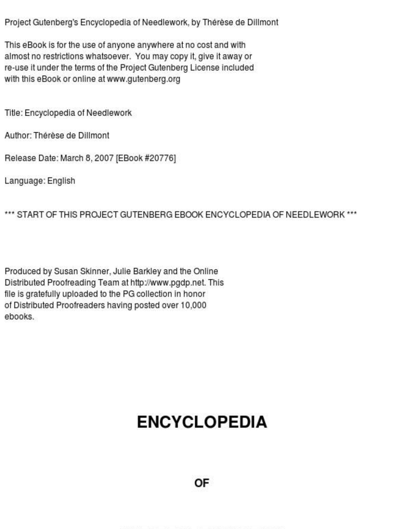Project Gutenberg's Encyclopedia of Needlework, by Thérèse de Dillmont

This eBook is for the use of anyone anywhere at no cost and with almost no restrictions whatsoever. You may copy it, give it away or re-use it under the terms of the Project Gutenberg License included with this eBook or online at www.gutenberg.org

Title: Encyclopedia of Needlework

Author: Thérèse de Dillmont

Release Date: March 8, 2007 [EBook #20776]

Language: English

\*\*\* START OF THIS PROJECT GUTENBERG EBOOK ENCYCLOPEDIA OF NEEDLEWORK \*\*\*

Produced by Susan Skinner, Julie Barkley and the Online Distributed Proofreading Team at http://www.pgdp.net. This file is gratefully uploaded to the PG collection in honor of Distributed Proofreaders having posted over 10,000 ebooks.

#### **ENCYCLOPEDIA**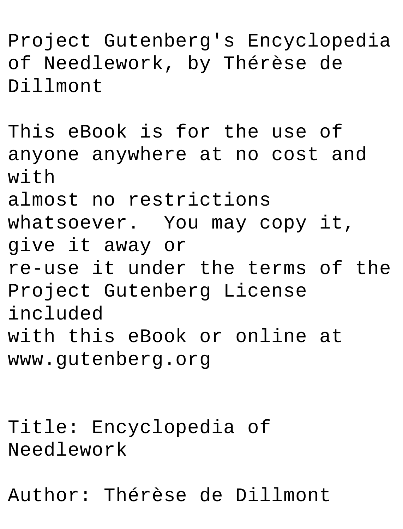Project Gutenberg's Encyclopedia of Needlework, by Thérèse de Dillmont

This eBook is for the use of anyone anywhere at no cost and with almost no restrictions whatsoever. You may copy it, give it away or re-use it under the terms of the Project Gutenberg License included with this eBook or online at www.gutenberg.org

Title: Encyclopedia of Needlework

Author: Thérèse de Dillmont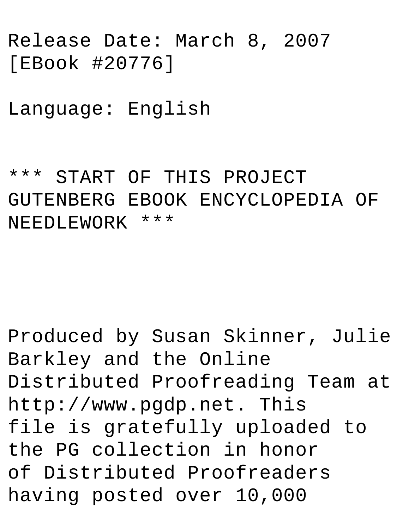Release Date: March 8, 2007 [EBook #20776]

Language: English

\*\*\* START OF THIS PROJECT GUTENBERG EBOOK ENCYCLOPEDIA OF NEEDLEWORK \*\*\*

Produced by Susan Skinner, Julie Barkley and the Online Distributed Proofreading Team at http://www.pgdp.net. This file is gratefully uploaded to the PG collection in honor of Distributed Proofreaders having posted over 10,000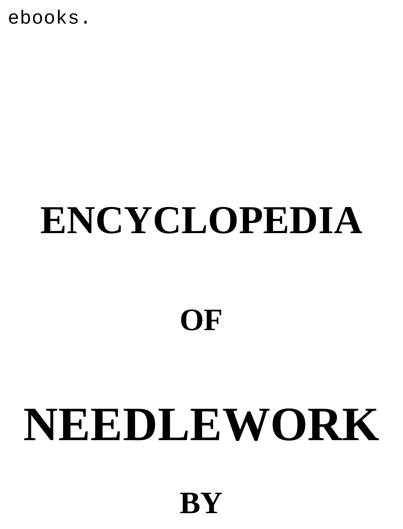ebooks.

## **ENCYCLOPEDIA**

#### **OF**

# **NEEDLEWORK**

**BY**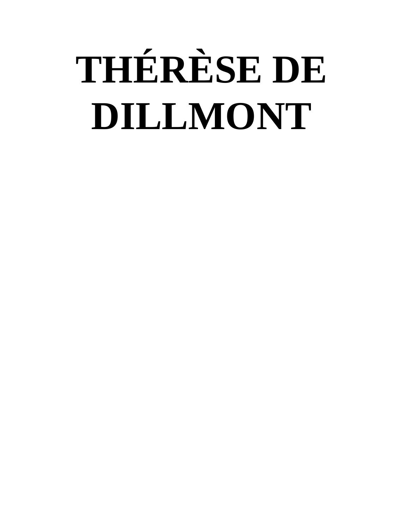# **THÉRÈSE DE DILLMONT**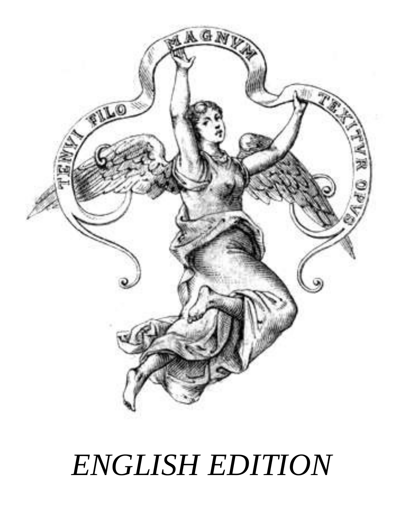

#### *ENGLISH EDITION*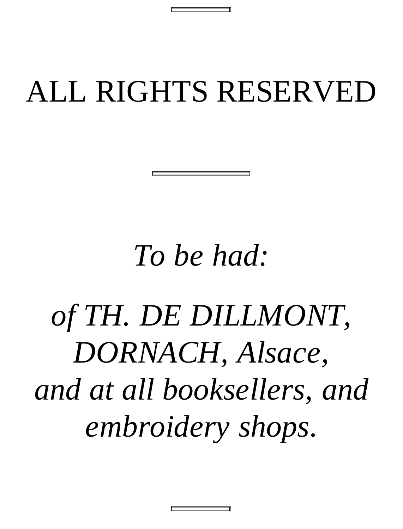#### ALL RIGHTS RESERVED



#### *To be had:*

### *of TH. DE DILLMONT, DORNACH, Alsace, and at all booksellers, and embroidery shops*.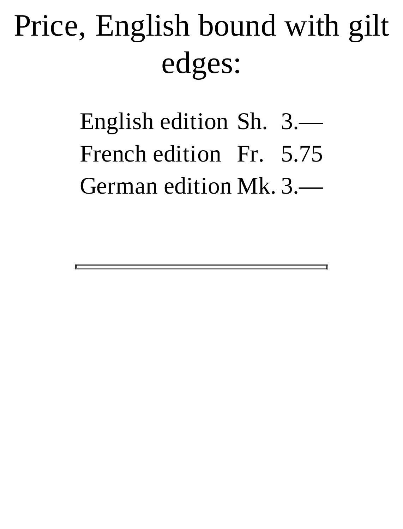### Price, English bound with gilt edges:

English edition Sh. 3.— French edition Fr. 5.75 German edition Mk. 3.—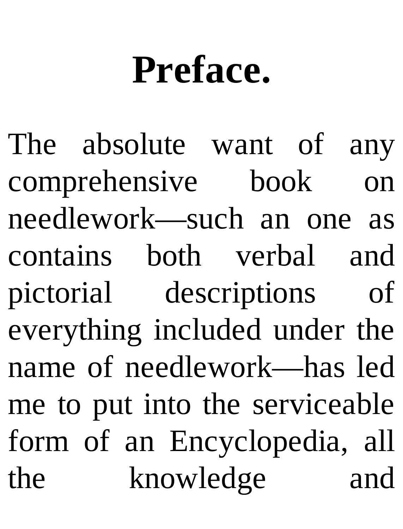### **Preface.**

The absolute want of any comprehensive book on needlework—such an one as contains both verbal and pictorial descriptions of everything included under the name of needlework—has led me to put into the serviceable form of an Encyclopedia, all the knowledge and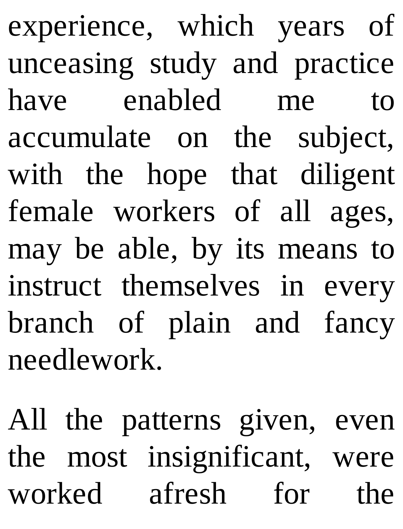experience, which years of unceasing study and practice have enabled me to accumulate on the subject, with the hope that diligent female workers of all ages, may be able, by its means to instruct themselves in every branch of plain and fancy needlework.

All the patterns given, even the most insignificant, were worked afresh for the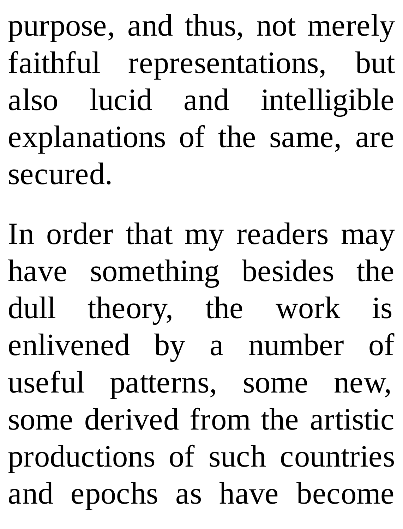purpose, and thus, not merely faithful representations, but also lucid and intelligible explanations of the same, are secured.

In order that my readers may have something besides the dull theory, the work is enlivened by a number of useful patterns, some new, some derived from the artistic productions of such countries and epochs as have become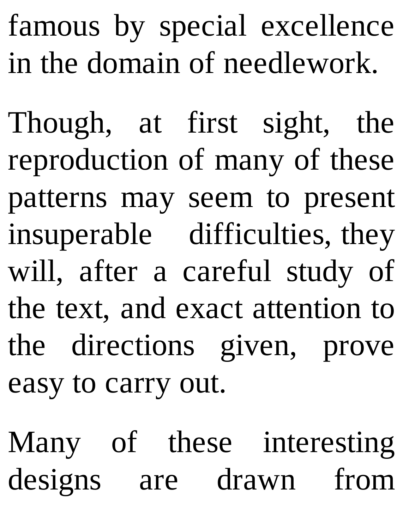famous by special excellence in the domain of needlework.

Though, at first sight, the reproduction of many of these patterns may seem to present insuperable difficulties, they will, after a careful study of the text, and exact attention to the directions given, prove easy to carry out.

Many of these interesting designs are drawn from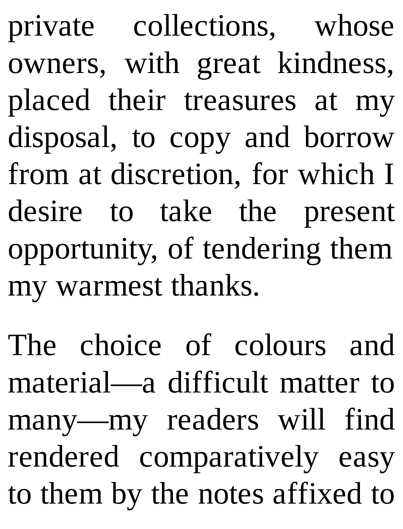private collections, whose owners, with great kindness, placed their treasures at my disposal, to copy and borrow from at discretion, for which I desire to take the present opportunity, of tendering them my warmest thanks.

The choice of colours and material—a difficult matter to many—my readers will find rendered comparatively easy to them by the notes affixed to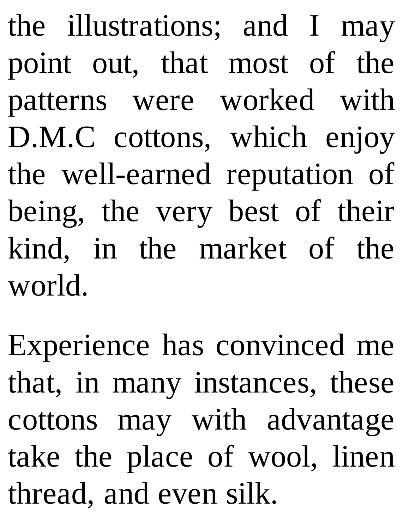the illustrations; and I may point out, that most of the patterns were worked with D.M.C cottons, which enjoy the well-earned reputation of being, the very best of their kind, in the market of the world.

Experience has convinced me that, in many instances, these cottons may with advantage take the place of wool, linen thread, and even silk.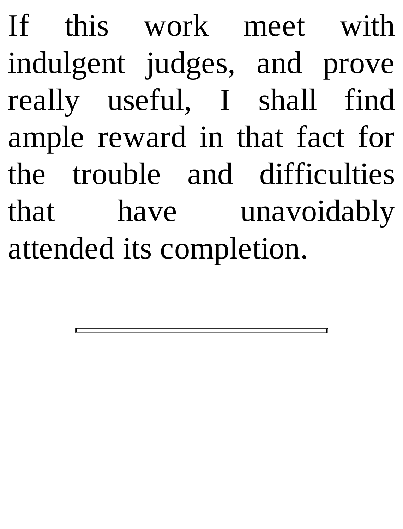If this work meet with indulgent judges, and prove really useful, I shall find ample reward in that fact for the trouble and difficulties that have unavoidably attended its completion.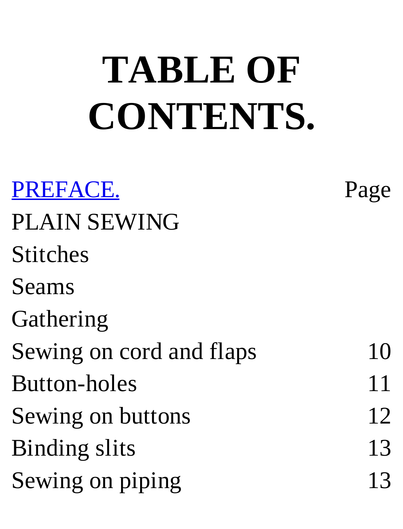# **TABLE OF CONTENTS.**

### PREFACE. Page

| <b>PLAIN SEWING</b>      |    |
|--------------------------|----|
| <b>Stitches</b>          |    |
| <b>Seams</b>             |    |
| Gathering                |    |
| Sewing on cord and flaps | 10 |
| <b>Button-holes</b>      | 11 |
| Sewing on buttons        | 12 |
| <b>Binding slits</b>     | 13 |
| Sewing on piping         | 13 |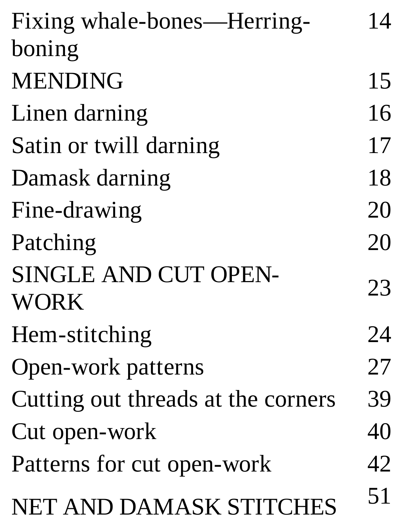| Fixing whale-bones—Herring-                | 14 |
|--------------------------------------------|----|
| boning                                     |    |
| <b>MENDING</b>                             | 15 |
| Linen darning                              | 16 |
| Satin or twill darning                     | 17 |
| Damask darning                             | 18 |
| Fine-drawing                               | 20 |
| Patching                                   | 20 |
| <b>SINGLE AND CUT OPEN-</b><br><b>WORK</b> | 23 |
| Hem-stitching                              | 24 |
| Open-work patterns                         | 27 |
| Cutting out threads at the corners         | 39 |
| Cut open-work                              | 40 |
| Patterns for cut open-work                 | 42 |
| <b>NET AND DAMASK STITCHES</b>             | 51 |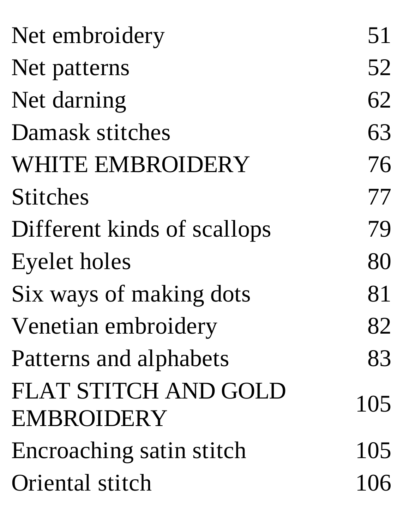| Net embroidery                                   | 51  |
|--------------------------------------------------|-----|
| Net patterns                                     | 52  |
| Net darning                                      | 62  |
| Damask stitches                                  | 63  |
| <b>WHITE EMBROIDERY</b>                          | 76  |
| <b>Stitches</b>                                  | 77  |
| Different kinds of scallops                      | 79  |
| Eyelet holes                                     | 80  |
| Six ways of making dots                          | 81  |
| Venetian embroidery                              | 82  |
| Patterns and alphabets                           | 83  |
| <b>FLAT STITCH AND GOLD</b><br><b>EMBROIDERY</b> | 105 |
| Encroaching satin stitch                         | 105 |
| Oriental stitch                                  | 106 |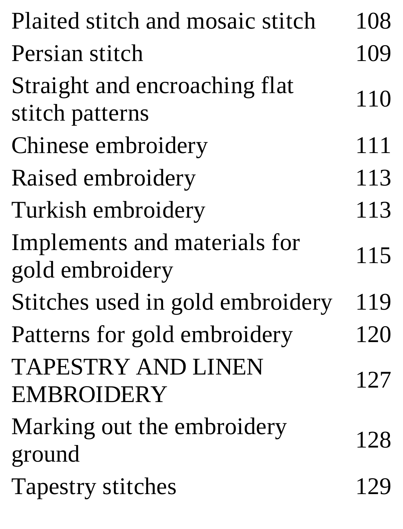| Plaited stitch and mosaic stitch                 | 108 |
|--------------------------------------------------|-----|
| Persian stitch                                   | 109 |
| Straight and encroaching flat<br>stitch patterns | 110 |
| Chinese embroidery                               | 111 |
| Raised embroidery                                | 113 |
| Turkish embroidery                               | 113 |
| Implements and materials for<br>gold embroidery  | 115 |
| Stitches used in gold embroidery                 | 119 |
| Patterns for gold embroidery                     | 120 |
| <b>TAPESTRY AND LINEN</b><br><b>EMBROIDERY</b>   | 127 |
| Marking out the embroidery<br>ground             | 128 |
| Tapestry stitches                                | 129 |
|                                                  |     |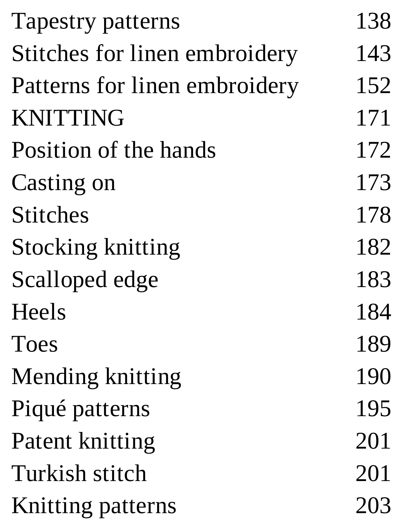| Tapestry patterns             | 138 |
|-------------------------------|-----|
| Stitches for linen embroidery | 143 |
| Patterns for linen embroidery | 152 |
| <b>KNITTING</b>               | 171 |
| Position of the hands         | 172 |
| Casting on                    | 173 |
| <b>Stitches</b>               | 178 |
| <b>Stocking knitting</b>      | 182 |
| Scalloped edge                | 183 |
| <b>Heels</b>                  | 184 |
| <b>Toes</b>                   | 189 |
| Mending knitting              | 190 |
| Piqué patterns                | 195 |
| Patent knitting               | 201 |
| Turkish stitch                | 201 |
| Knitting patterns             | 203 |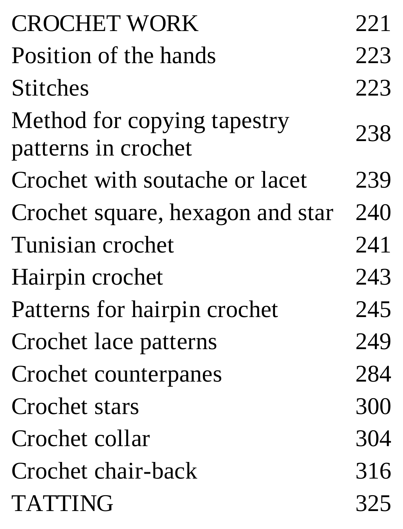| <b>CROCHET WORK</b>                                | 221 |
|----------------------------------------------------|-----|
| Position of the hands                              | 223 |
| <b>Stitches</b>                                    | 223 |
| Method for copying tapestry<br>patterns in crochet | 238 |
| Crochet with soutache or lacet                     | 239 |
| Crochet square, hexagon and star                   | 240 |
| Tunisian crochet                                   | 241 |
| Hairpin crochet                                    | 243 |
| Patterns for hairpin crochet                       | 245 |
| Crochet lace patterns                              | 249 |
| Crochet counterpanes                               | 284 |
| Crochet stars                                      | 300 |
| Crochet collar                                     | 304 |
| Crochet chair-back                                 | 316 |
| TATTING                                            | 325 |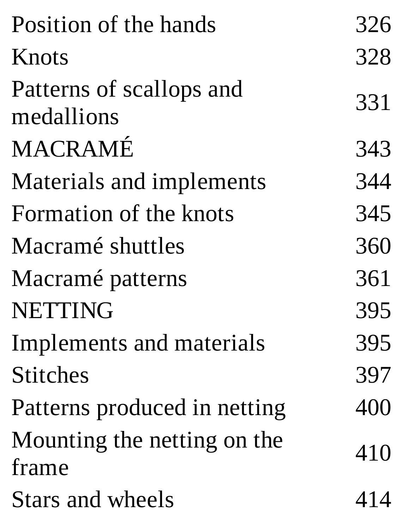| Position of the hands                  | 326 |
|----------------------------------------|-----|
| Knots                                  | 328 |
| Patterns of scallops and<br>medallions | 331 |
| <b>MACRAMÉ</b>                         | 343 |
| Materials and implements               | 344 |
| Formation of the knots                 | 345 |
| Macramé shuttles                       | 360 |
| Macramé patterns                       | 361 |
| <b>NETTING</b>                         | 395 |
| Implements and materials               | 395 |
| <b>Stitches</b>                        | 397 |
| Patterns produced in netting           | 400 |
| Mounting the netting on the<br>frame   | 410 |
| Stars and wheels                       | 414 |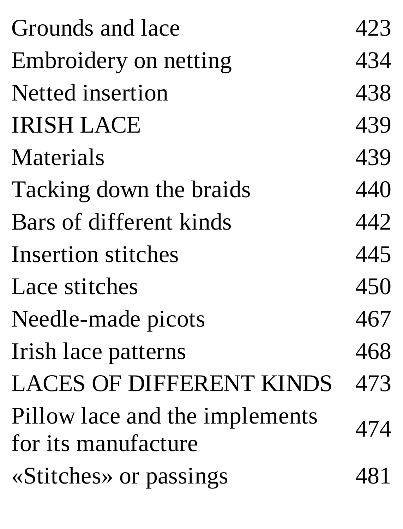| Grounds and lace                                      | 423 |
|-------------------------------------------------------|-----|
| Embroidery on netting                                 | 434 |
| Netted insertion                                      | 438 |
| <b>IRISH LACE</b>                                     | 439 |
| <b>Materials</b>                                      | 439 |
| Tacking down the braids                               | 440 |
| Bars of different kinds                               | 442 |
| Insertion stitches                                    | 445 |
| Lace stitches                                         | 450 |
| Needle-made picots                                    | 467 |
| Irish lace patterns                                   | 468 |
| <b>LACES OF DIFFERENT KINDS</b>                       | 473 |
| Pillow lace and the implements<br>for its manufacture | 474 |
| «Stitches» or passings                                | 481 |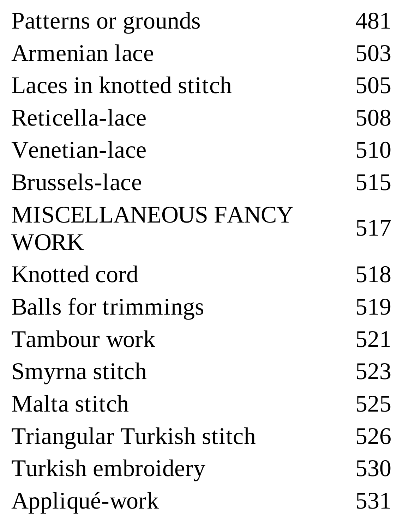| Patterns or grounds                       | 481 |
|-------------------------------------------|-----|
| Armenian lace                             | 503 |
| Laces in knotted stitch                   | 505 |
| Reticella-lace                            | 508 |
| Venetian-lace                             | 510 |
| Brussels-lace                             | 515 |
| <b>MISCELLANEOUS FANCY</b><br><b>WORK</b> | 517 |
| Knotted cord                              | 518 |
| <b>Balls for trimmings</b>                | 519 |
| Tambour work                              | 521 |
| Smyrna stitch                             | 523 |
| Malta stitch                              | 525 |
| Triangular Turkish stitch                 | 526 |
| Turkish embroidery                        | 530 |
| Appliqué-work                             | 531 |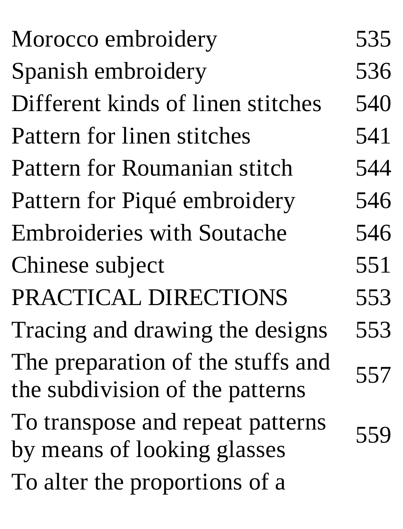| Morocco embroidery                                                   | 535 |
|----------------------------------------------------------------------|-----|
| Spanish embroidery                                                   | 536 |
| Different kinds of linen stitches                                    | 540 |
| Pattern for linen stitches                                           | 541 |
| Pattern for Roumanian stitch                                         | 544 |
| Pattern for Piqué embroidery                                         | 546 |
| <b>Embroideries with Soutache</b>                                    | 546 |
| Chinese subject                                                      | 551 |
| PRACTICAL DIRECTIONS                                                 | 553 |
| Tracing and drawing the designs                                      | 553 |
| The preparation of the stuffs and<br>the subdivision of the patterns | 557 |
| To transpose and repeat patterns<br>by means of looking glasses      | 559 |
| To alter the proportions of a                                        |     |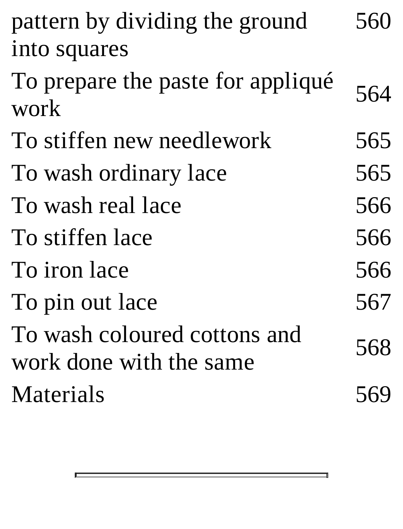| pattern by dividing the ground<br>into squares          | 560 |
|---------------------------------------------------------|-----|
| To prepare the paste for appliqué<br>work               | 564 |
| To stiffen new needlework                               | 565 |
| To wash ordinary lace                                   | 565 |
| To wash real lace                                       | 566 |
| To stiffen lace                                         | 566 |
| To iron lace                                            | 566 |
| To pin out lace                                         | 567 |
| To wash coloured cottons and<br>work done with the same | 568 |
| <b>Materials</b>                                        |     |
|                                                         |     |

 $\overline{\phantom{0}}$ 

 $\overline{\phantom{a}}$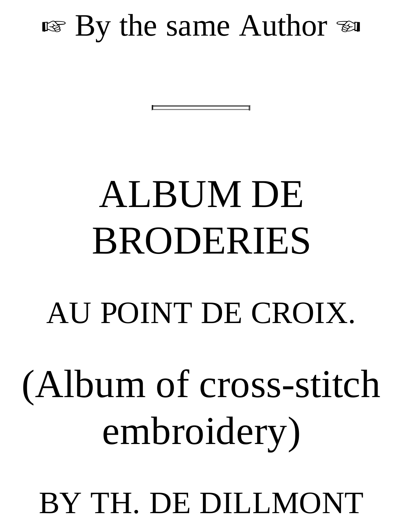#### **■ By the same Author <sup>sai</sup>**

### ALBUM DE **BRODERIES**

AU POINT DE CROIX.

(Album of cross-stitch embroidery)

BY TH. DE DILLMONT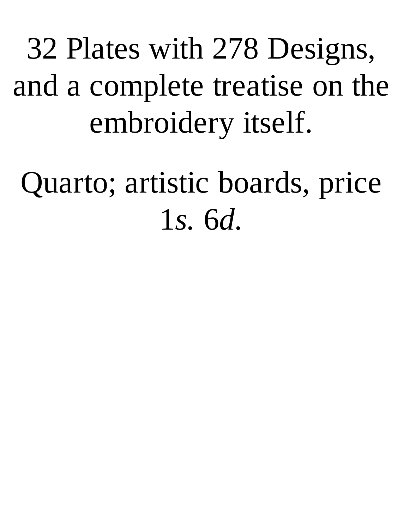32 Plates with 278 Designs, and a complete treatise on the embroidery itself.

Quarto; artistic boards, price 1*s.* 6*d.*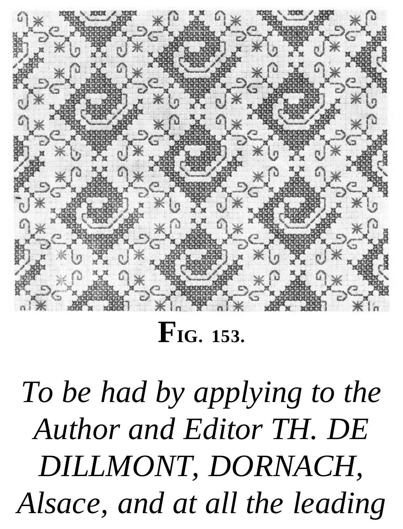

**FIG. 153.**

*To be had by applying to the Author and Editor TH. DE DILLMONT, DORNACH, Alsace, and at all the leading*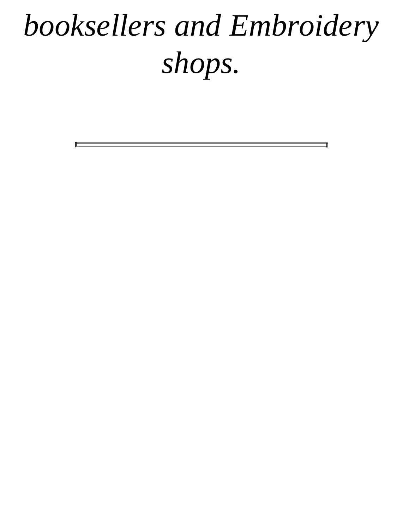### *booksellers and Embroidery shops.*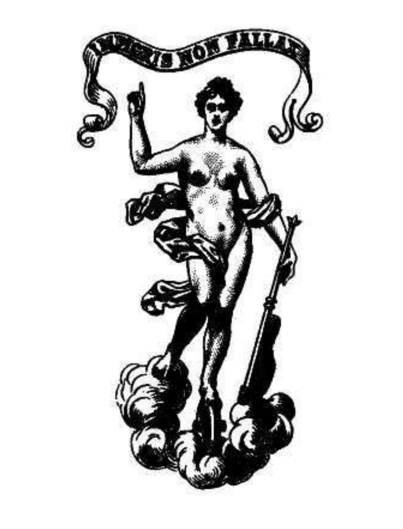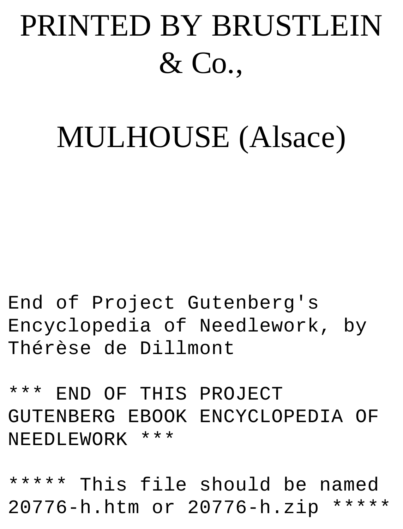#### PRINTED BY BRUSTLEIN & Co.,

#### MULHOUSE (Alsace)

End of Project Gutenberg's Encyclopedia of Needlework, by Thérèse de Dillmont

FND OF THIS PROJECT GUTENBERG EBOOK ENCYCLOPEDIA OF NEEDLEWORK \*\*\*

\*\*\*\*\* This file should be named 20776-h.htm or 20776-h.zip \*\*\*\*\*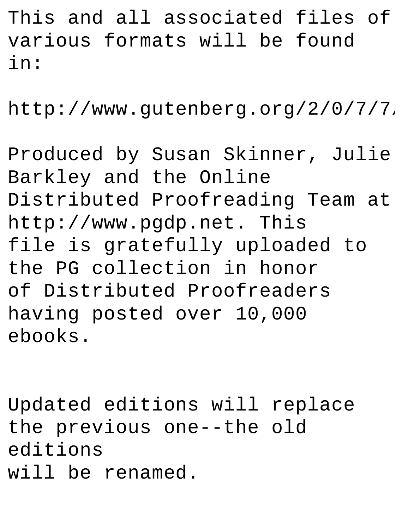This and all associated files of various formats will be found in:

http://www.gutenberg.org/2/0/7/7,

Produced by Susan Skinner, Julie Barkley and the Online Distributed Proofreading Team at http://www.pgdp.net. This file is gratefully uploaded to the PG collection in honor of Distributed Proofreaders having posted over 10,000 ebooks.

Updated editions will replace the previous one--the old editions will be renamed.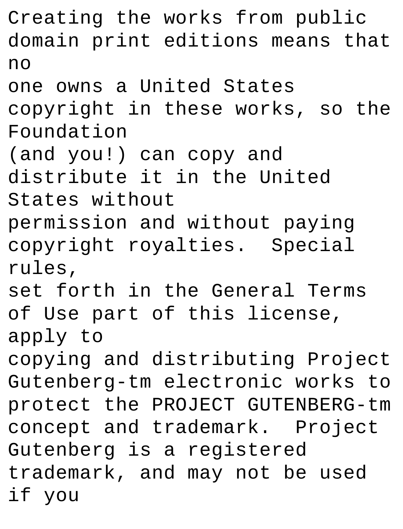```
Creating the works from public
domain print editions means that
no
one owns a United States
copyright in these works, so the
Foundation
(and you!) can copy and
distribute it in the United
States without
permission and without paying
copyright royalties. Special
rules,
set forth in the General Terms
of Use part of this license,
apply to
copying and distributing Project
Gutenberg-tm electronic works to
protect the PROJECT GUTENBERG-tm
concept and trademark. Project
Gutenberg is a registered
trademark, and may not be used
if you
```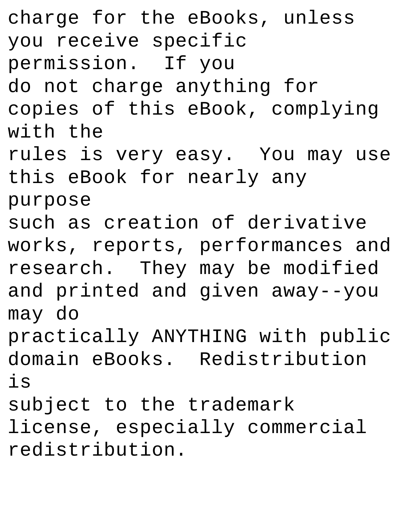charge for the eBooks, unless you receive specific permission. If you do not charge anything for copies of this eBook, complying with the rules is very easy. You may use this eBook for nearly any purpose such as creation of derivative works, reports, performances and research. They may be modified and printed and given away--you may do practically ANYTHING with public domain eBooks. Redistribution is subject to the trademark license, especially commercial redistribution.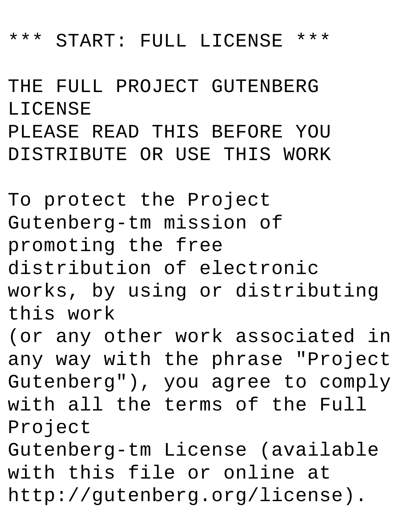## \*\*\* START: FULL LICENSE \*\*\*

THE FULL PROJECT GUTENBERG LICENSE PLEASE READ THIS BEFORE YOU DISTRIBUTE OR USE THIS WORK

To protect the Project Gutenberg-tm mission of promoting the free distribution of electronic works, by using or distributing this work (or any other work associated in any way with the phrase "Project Gutenberg"), you agree to comply with all the terms of the Full Project Gutenberg-tm License (available with this file or online at

http://gutenberg.org/license).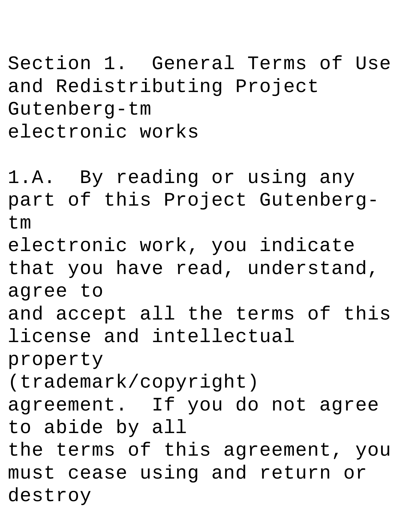Section 1. General Terms of Use and Redistributing Project Gutenberg-tm electronic works

1.A. By reading or using any part of this Project Gutenbergtm electronic work, you indicate

that you have read, understand, agree to

and accept all the terms of this license and intellectual

property

(trademark/copyright)

agreement. If you do not agree to abide by all

the terms of this agreement, you must cease using and return or destroy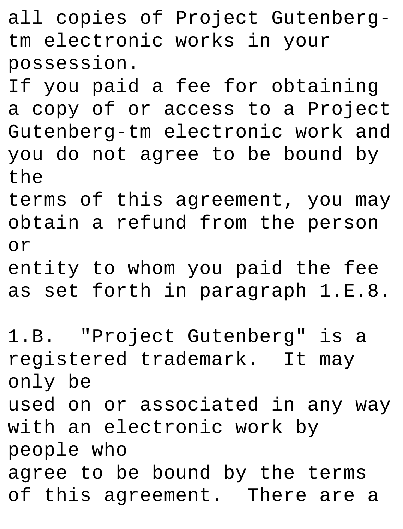all copies of Project Gutenbergtm electronic works in your possession.

If you paid a fee for obtaining a copy of or access to a Project Gutenberg-tm electronic work and you do not agree to be bound by the

terms of this agreement, you may obtain a refund from the person or

entity to whom you paid the fee as set forth in paragraph 1.E.8.

1.B. "Project Gutenberg" is a registered trademark. It may only be used on or associated in any way with an electronic work by people who agree to be bound by the terms of this agreement. There are a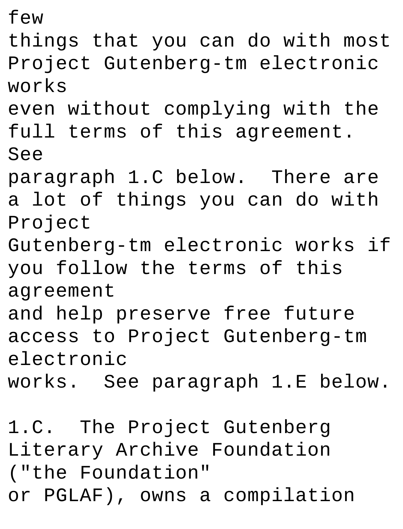few

- things that you can do with most Project Gutenberg-tm electronic works
- even without complying with the full terms of this agreement.
- See
- paragraph 1.C below. There are a lot of things you can do with Project
- Gutenberg-tm electronic works if you follow the terms of this
- agreement
- and help preserve free future access to Project Gutenberg-tm electronic
- works. See paragraph 1.E below.

1.C. The Project Gutenberg Literary Archive Foundation ("the Foundation" or PGLAF), owns a compilation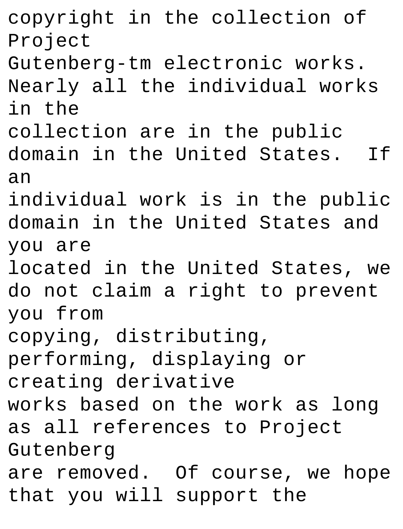copyright in the collection of Project Gutenberg-tm electronic works. Nearly all the individual works in the collection are in the public domain in the United States. If an individual work is in the public domain in the United States and you are located in the United States, we do not claim a right to prevent you from copying, distributing, performing, displaying or creating derivative works based on the work as long as all references to Project Gutenberg are removed. Of course, we hope that you will support the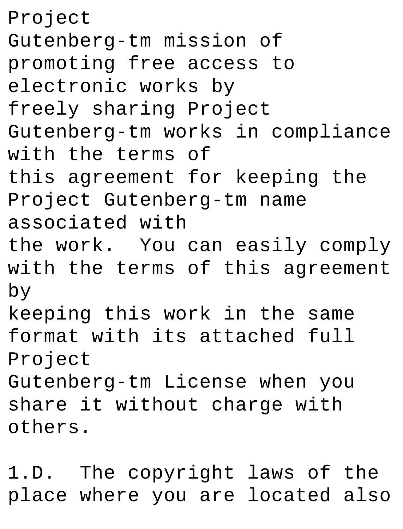Project Gutenberg-tm mission of promoting free access to electronic works by freely sharing Project Gutenberg-tm works in compliance with the terms of this agreement for keeping the Project Gutenberg-tm name associated with the work. You can easily comply with the terms of this agreement by keeping this work in the same format with its attached full Project Gutenberg-tm License when you share it without charge with others.

1.D. The copyright laws of the place where you are located also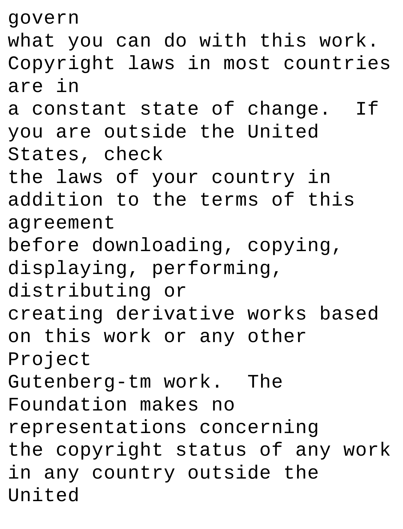govern what you can do with this work. Copyright laws in most countries are in a constant state of change. If you are outside the United States, check the laws of your country in addition to the terms of this agreement before downloading, copying, displaying, performing, distributing or creating derivative works based on this work or any other Project Gutenberg-tm work. The Foundation makes no representations concerning the copyright status of any work in any country outside the

United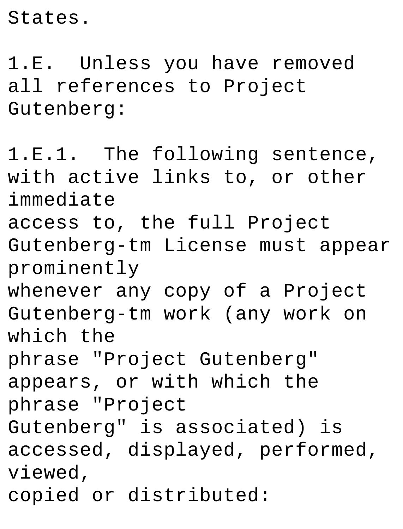States.

1.E. Unless you have removed all references to Project Gutenberg:

1.E.1. The following sentence, with active links to, or other immediate access to, the full Project Gutenberg-tm License must appear prominently whenever any copy of a Project Gutenberg-tm work (any work on which the phrase "Project Gutenberg" appears, or with which the phrase "Project Gutenberg" is associated) is accessed, displayed, performed, viewed, copied or distributed: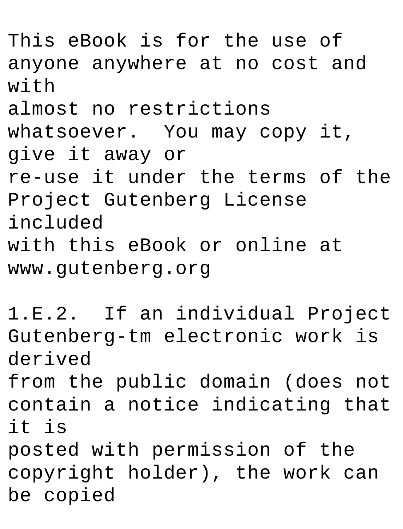This eBook is for the use of anyone anywhere at no cost and with almost no restrictions whatsoever. You may copy it, give it away or re-use it under the terms of the Project Gutenberg License included with this eBook or online at www.gutenberg.org

1.E.2. If an individual Project Gutenberg-tm electronic work is derived

from the public domain (does not contain a notice indicating that it is

posted with permission of the copyright holder), the work can be copied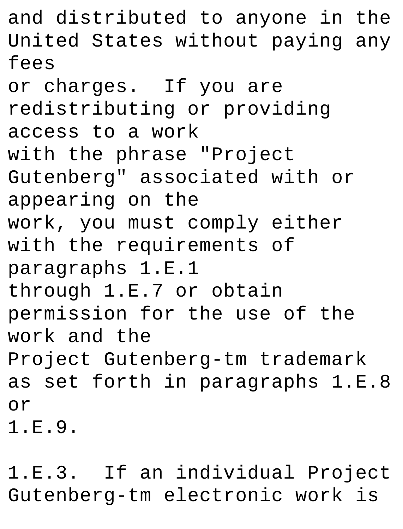and distributed to anyone in the United States without paying any fees

or charges. If you are redistributing or providing access to a work with the phrase "Project Gutenberg" associated with or appearing on the work, you must comply either with the requirements of paragraphs 1.E.1 through 1.E.7 or obtain permission for the use of the work and the Project Gutenberg-tm trademark as set forth in paragraphs 1.E.8 or 1.E.9.

1.E.3. If an individual Project Gutenberg-tm electronic work is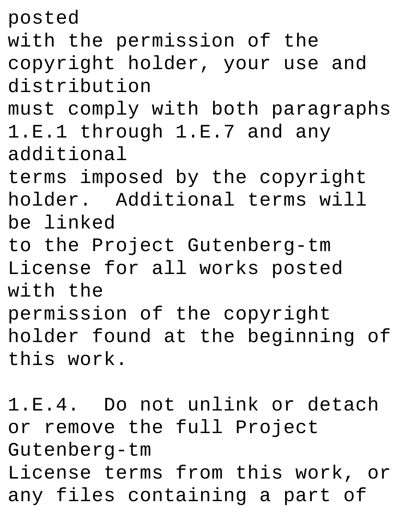posted

with the permission of the copyright holder, your use and distribution

must comply with both paragraphs 1.E.1 through 1.E.7 and any additional

terms imposed by the copyright holder. Additional terms will be linked

to the Project Gutenberg-tm

License for all works posted with the

permission of the copyright holder found at the beginning of this work.

1.E.4. Do not unlink or detach or remove the full Project Gutenberg-tm License terms from this work, or any files containing a part of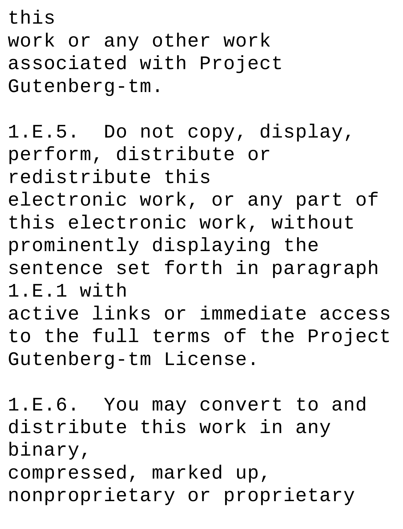this work or any other work associated with Project Gutenberg-tm.

1.E.5. Do not copy, display, perform, distribute or redistribute this electronic work, or any part of this electronic work, without prominently displaying the sentence set forth in paragraph 1.E.1 with active links or immediate access to the full terms of the Project Gutenberg-tm License.

1.E.6. You may convert to and distribute this work in any binary, compressed, marked up, nonproprietary or proprietary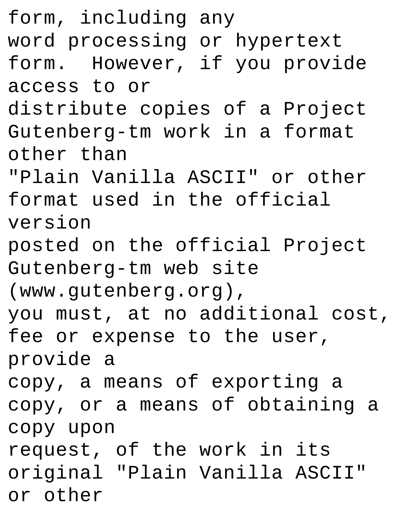form, including any word processing or hypertext form. However, if you provide access to or distribute copies of a Project Gutenberg-tm work in a format other than "Plain Vanilla ASCII" or other format used in the official version posted on the official Project Gutenberg-tm web site (www.gutenberg.org), you must, at no additional cost, fee or expense to the user, provide a copy, a means of exporting a copy, or a means of obtaining a copy upon request, of the work in its original "Plain Vanilla ASCII" or other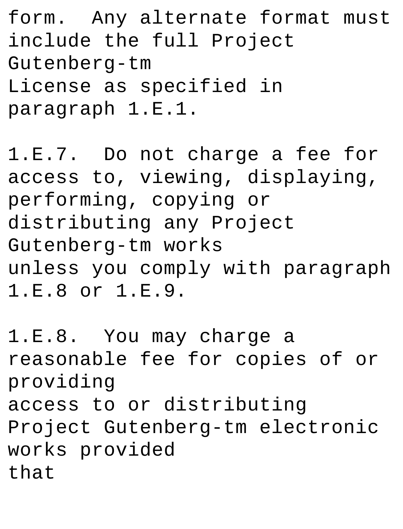form. Any alternate format must include the full Project Gutenberg-tm License as specified in paragraph 1.E.1.

1.E.7. Do not charge a fee for access to, viewing, displaying, performing, copying or distributing any Project Gutenberg-tm works unless you comply with paragraph 1.E.8 or 1.E.9.

1.E.8. You may charge a reasonable fee for copies of or providing access to or distributing Project Gutenberg-tm electronic works provided that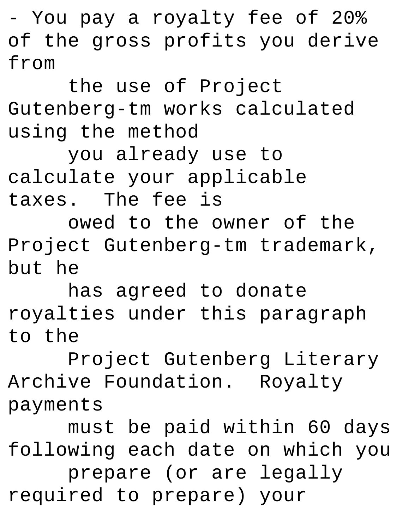- You pay a royalty fee of 20% of the gross profits you derive from

the use of Project Gutenberg-tm works calculated using the method

you already use to calculate your applicable taxes. The fee is

owed to the owner of the Project Gutenberg-tm trademark, but he

has agreed to donate royalties under this paragraph to the

Project Gutenberg Literary Archive Foundation. Royalty payments

must be paid within 60 days following each date on which you prepare (or are legally required to prepare) your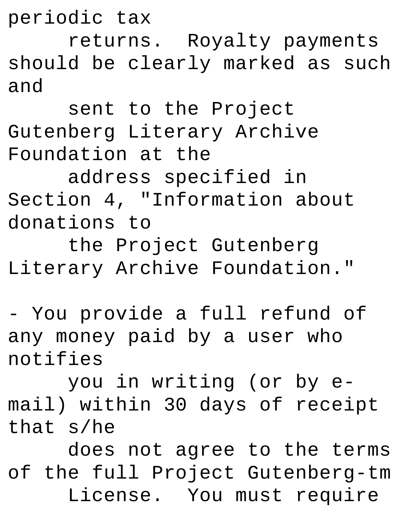periodic tax

returns. Royalty payments should be clearly marked as such and

sent to the Project Gutenberg Literary Archive Foundation at the

address specified in Section 4, "Information about donations to

the Project Gutenberg Literary Archive Foundation."

- You provide a full refund of any money paid by a user who notifies

you in writing (or by email) within 30 days of receipt that s/he

does not agree to the terms of the full Project Gutenberg-tm License. You must require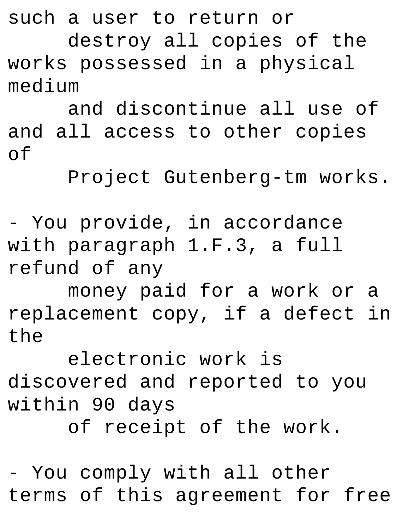such a user to return or destroy all copies of the works possessed in a physical medium

and discontinue all use of and all access to other copies of

Project Gutenberg-tm works.

- You provide, in accordance with paragraph 1.F.3, a full refund of any

money paid for a work or a replacement copy, if a defect in the

electronic work is

discovered and reported to you within 90 days

of receipt of the work.

- You comply with all other terms of this agreement for free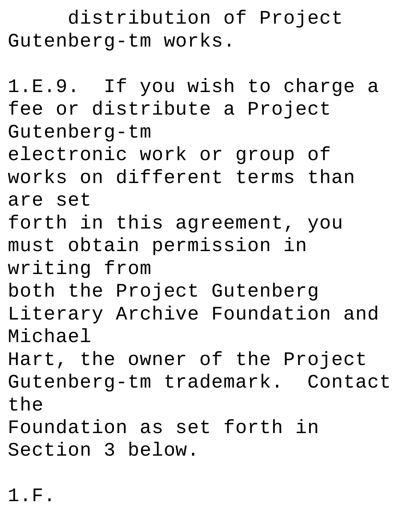distribution of Project Gutenberg-tm works.

1.E.9. If you wish to charge a fee or distribute a Project Gutenberg-tm electronic work or group of works on different terms than are set forth in this agreement, you must obtain permission in writing from both the Project Gutenberg Literary Archive Foundation and Michael Hart, the owner of the Project Gutenberg-tm trademark. Contact the Foundation as set forth in Section 3 below.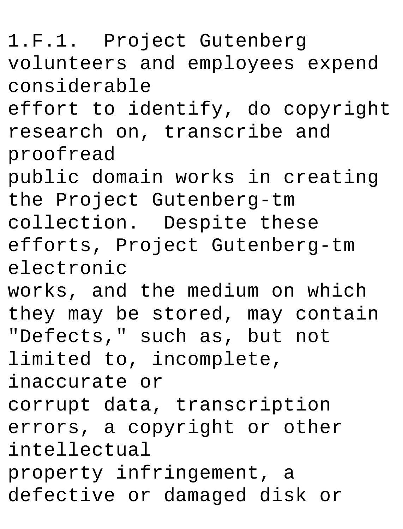1.F.1. Project Gutenberg volunteers and employees expend considerable effort to identify, do copyright research on, transcribe and proofread public domain works in creating the Project Gutenberg-tm collection. Despite these efforts, Project Gutenberg-tm electronic works, and the medium on which they may be stored, may contain "Defects," such as, but not limited to, incomplete, inaccurate or corrupt data, transcription errors, a copyright or other intellectual property infringement, a defective or damaged disk or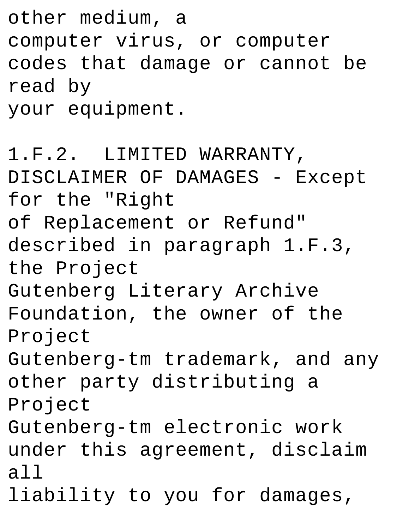other medium, a computer virus, or computer codes that damage or cannot be read by your equipment.

1.F.2. LIMITED WARRANTY, DISCLAIMER OF DAMAGES - Except for the "Right of Replacement or Refund" described in paragraph 1.F.3, the Project Gutenberg Literary Archive Foundation, the owner of the Project Gutenberg-tm trademark, and any other party distributing a Project Gutenberg-tm electronic work under this agreement, disclaim all liability to you for damages,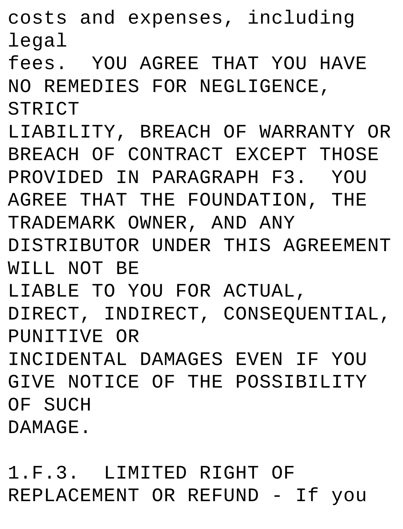costs and expenses, including legal

fees. YOU AGREE THAT YOU HAVE NO REMEDIES FOR NEGLIGENCE, **STRICT** 

LIABILITY, BREACH OF WARRANTY OR BREACH OF CONTRACT EXCEPT THOSE PROVIDED IN PARAGRAPH F3. YOU AGREE THAT THE FOUNDATION, THE TRADEMARK OWNER, AND ANY DISTRIBUTOR UNDER THIS AGREEMENT WILL NOT RE LIABLE TO YOU FOR ACTUAL, DIRECT, INDIRECT, CONSEQUENTIAL, PUNITIVE OR INCIDENTAL DAMAGES EVEN IF YOU GIVE NOTICE OF THE POSSIBILITY OF SUCH

DAMAGE.

1.F.3. LIMITED RIGHT OF REPLACEMENT OR REFUND - If you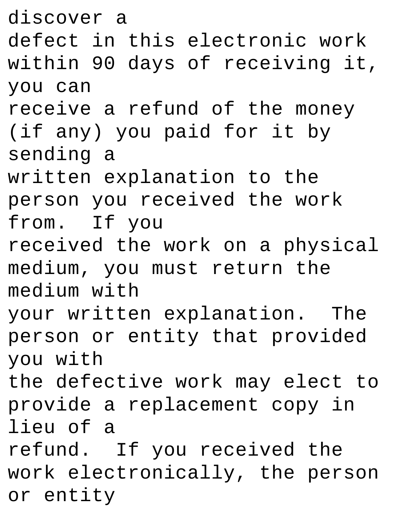discover a defect in this electronic work within 90 days of receiving it, you can receive a refund of the money (if any) you paid for it by sending a written explanation to the person you received the work from. If you received the work on a physical medium, you must return the medium with your written explanation. The person or entity that provided you with the defective work may elect to provide a replacement copy in lieu of a refund. If you received the work electronically, the person or entity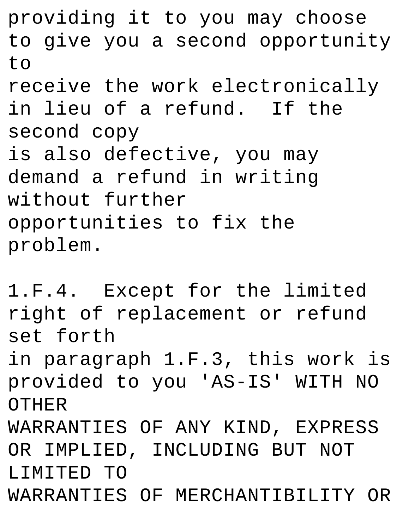providing it to you may choose to give you a second opportunity to

receive the work electronically in lieu of a refund. If the second copy is also defective, you may demand a refund in writing without further opportunities to fix the problem.

1.F.4. Except for the limited right of replacement or refund set forth

in paragraph 1.F.3, this work is provided to you 'AS-IS' WITH NO **OTHER** 

WARRANTIES OF ANY KIND, EXPRESS OR IMPLIED, INCLUDING BUT NOT LIMITED TO

WARRANTIES OF MERCHANTIBILITY OR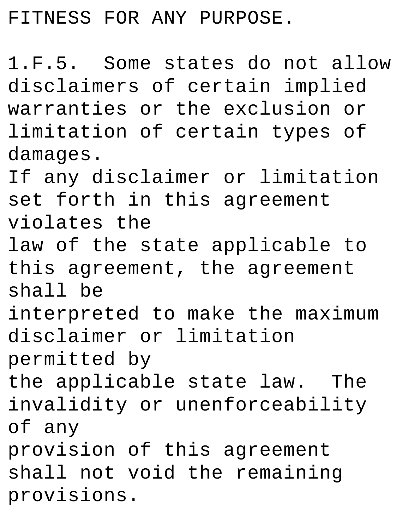FITNESS FOR ANY PURPOSE.

1.F.5. Some states do not allow disclaimers of certain implied warranties or the exclusion or limitation of certain types of damages.

If any disclaimer or limitation set forth in this agreement violates the

- law of the state applicable to this agreement, the agreement shall be
- interpreted to make the maximum disclaimer or limitation

permitted by

- the applicable state law. The invalidity or unenforceability of any
- provision of this agreement shall not void the remaining provisions.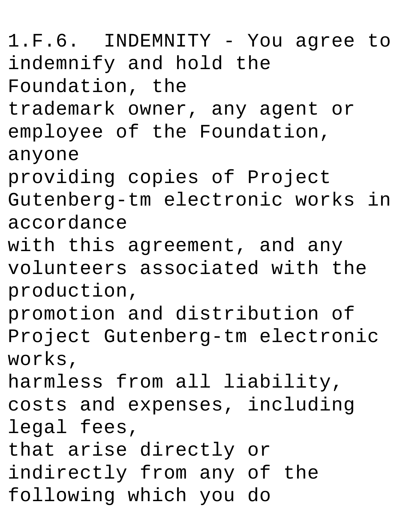1.F.6. INDEMNITY - You agree to indemnify and hold the Foundation, the trademark owner, any agent or employee of the Foundation, anyone providing copies of Project Gutenberg-tm electronic works in accordance with this agreement, and any volunteers associated with the production, promotion and distribution of Project Gutenberg-tm electronic works, harmless from all liability, costs and expenses, including legal fees, that arise directly or indirectly from any of the following which you do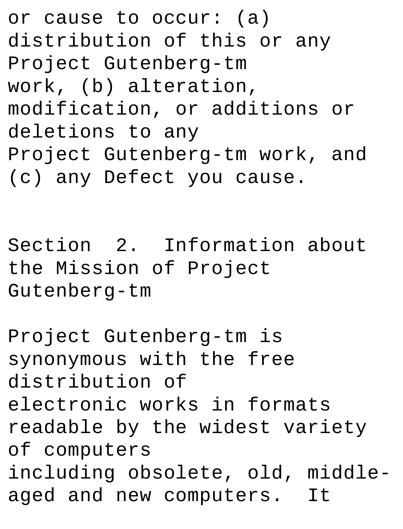or cause to occur: (a) distribution of this or any Project Gutenberg-tm work, (b) alteration, modification, or additions or deletions to any Project Gutenberg-tm work, and (c) any Defect you cause.

Section 2. Information about the Mission of Project Gutenberg-tm

Project Gutenberg-tm is synonymous with the free distribution of electronic works in formats readable by the widest variety of computers including obsolete, old, middleaged and new computers. It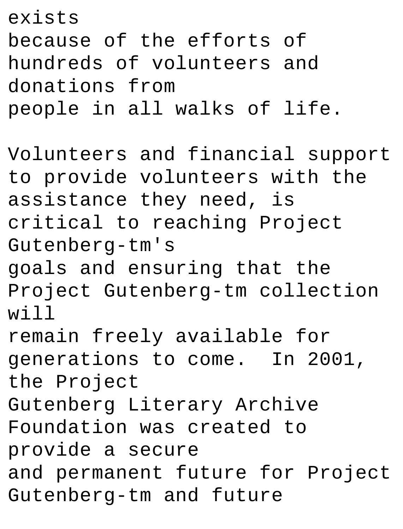exists because of the efforts of hundreds of volunteers and donations from people in all walks of life. Volunteers and financial support

to provide volunteers with the assistance they need, is critical to reaching Project Gutenberg-tm's goals and ensuring that the Project Gutenberg-tm collection will remain freely available for generations to come. In 2001, the Project Gutenberg Literary Archive Foundation was created to provide a secure and permanent future for Project Gutenberg-tm and future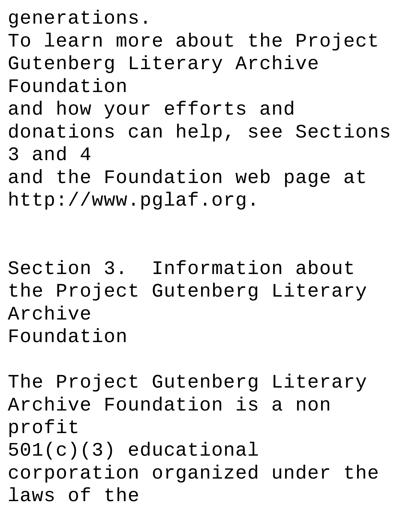```
generations.
To learn more about the Project
Gutenberg Literary Archive
Foundation
and how your efforts and
donations can help, see Sections
3 and 4
and the Foundation web page at
http://www.pglaf.org.
```
Section 3. Information about the Project Gutenberg Literary Archive Foundation

The Project Gutenberg Literary Archive Foundation is a non profit 501(c)(3) educational corporation organized under the laws of the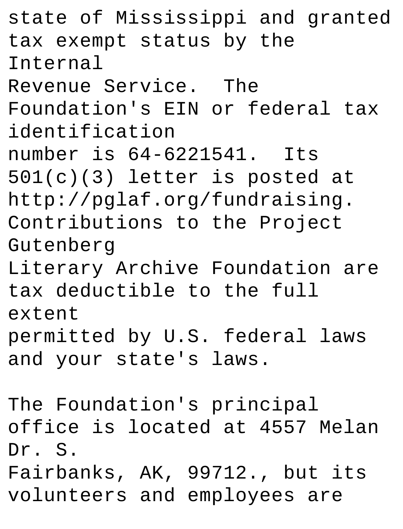state of Mississippi and granted tax exempt status by the Internal Revenue Service. The Foundation's EIN or federal tax identification number is 64-6221541. Its 501(c)(3) letter is posted at http://pglaf.org/fundraising. Contributions to the Project Gutenberg Literary Archive Foundation are tax deductible to the full extent permitted by U.S. federal laws and your state's laws. The Foundation's principal office is located at 4557 Melan

Dr. S.

Fairbanks, AK, 99712., but its volunteers and employees are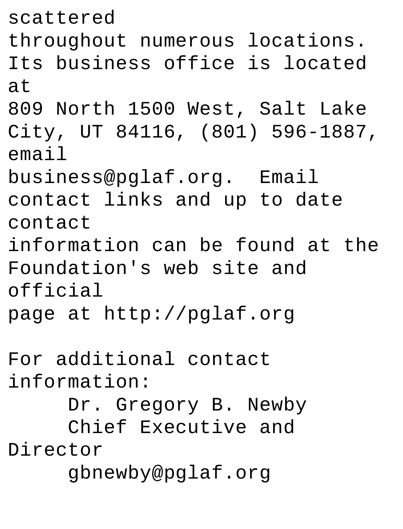```
scattered
throughout numerous locations.
Its business office is located
at
809 North 1500 West, Salt Lake
City, UT 84116, (801) 596-1887,
email
business@pglaf.org. Email
contact links and up to date
contact
information can be found at the
Foundation's web site and
official
page at http://pglaf.org
For additional contact
information:
     Dr. Gregory B. Newby
     Chief Executive and
Director
     gbnewby@pglaf.org
```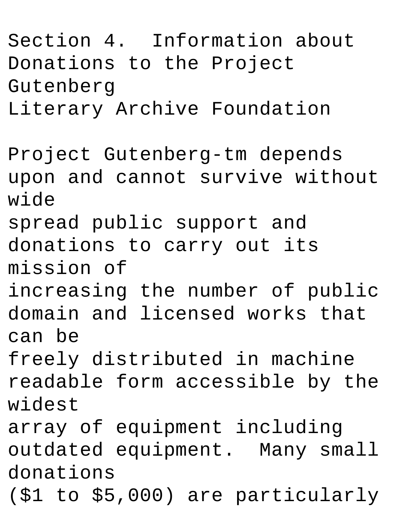Section 4. Information about Donations to the Project Gutenberg Literary Archive Foundation

Project Gutenberg-tm depends upon and cannot survive without wide spread public support and donations to carry out its mission of increasing the number of public domain and licensed works that can be freely distributed in machine readable form accessible by the widest array of equipment including outdated equipment. Many small donations (\$1 to \$5,000) are particularly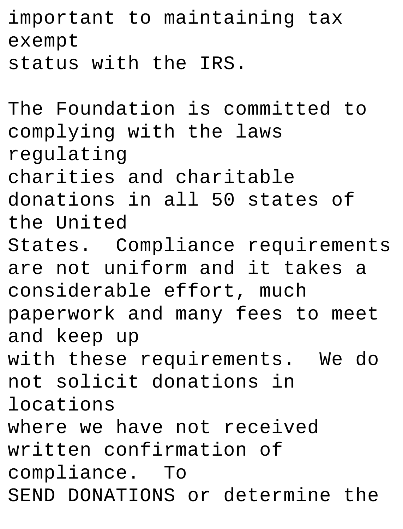important to maintaining tax exempt status with the IRS. The Foundation is committed to complying with the laws regulating charities and charitable donations in all 50 states of the United States. Compliance requirements are not uniform and it takes a considerable effort, much paperwork and many fees to meet and keep up with these requirements. We do not solicit donations in locations where we have not received written confirmation of compliance. To SEND DONATIONS or determine the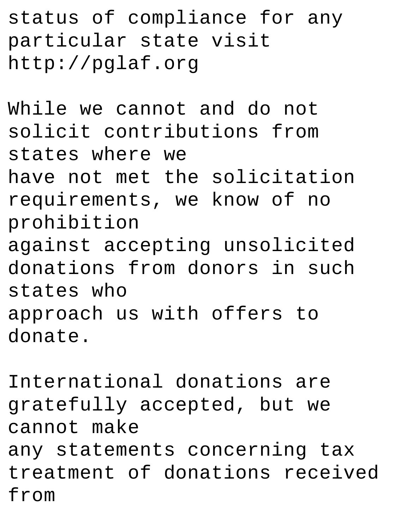status of compliance for any particular state visit http://pglaf.org

While we cannot and do not solicit contributions from states where we have not met the solicitation requirements, we know of no prohibition against accepting unsolicited donations from donors in such states who approach us with offers to donate.

International donations are gratefully accepted, but we cannot make any statements concerning tax treatment of donations received from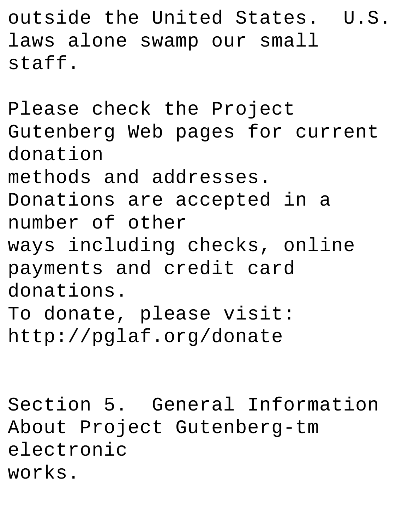outside the United States. U.S. laws alone swamp our small staff.

Please check the Project Gutenberg Web pages for current donation methods and addresses. Donations are accepted in a number of other ways including checks, online payments and credit card donations. To donate, please visit: http://pglaf.org/donate

Section 5. General Information About Project Gutenberg-tm electronic works.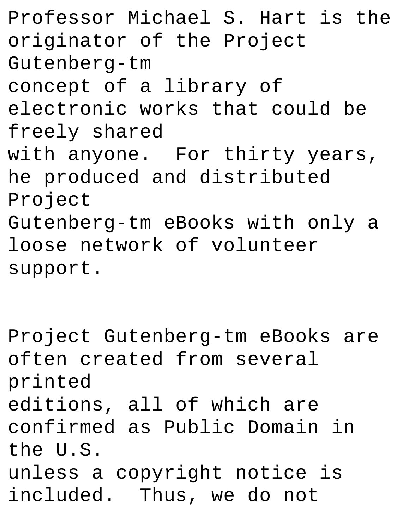Professor Michael S. Hart is the originator of the Project Gutenberg-tm concept of a library of electronic works that could be freely shared with anyone. For thirty years, he produced and distributed Project Gutenberg-tm eBooks with only a loose network of volunteer support.

Project Gutenberg-tm eBooks are often created from several printed editions, all of which are confirmed as Public Domain in the U.S. unless a copyright notice is included. Thus, we do not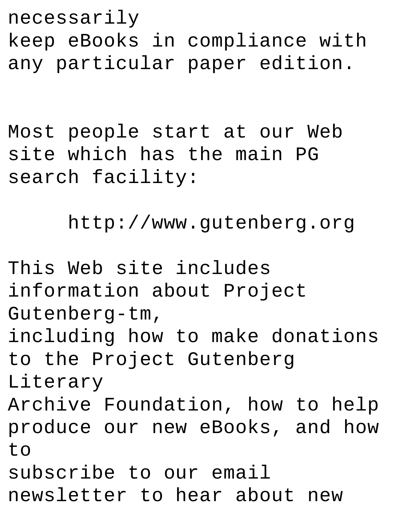necessarily keep eBooks in compliance with any particular paper edition.

Most people start at our Web site which has the main PG search facility:

http://www.gutenberg.org

This Web site includes information about Project Gutenberg-tm, including how to make donations to the Project Gutenberg Literary Archive Foundation, how to help produce our new eBooks, and how to subscribe to our email newsletter to hear about new